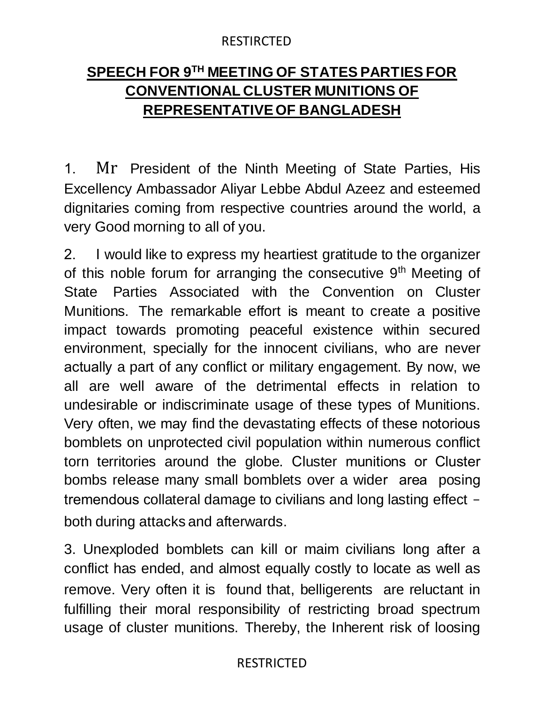### RESTIRCTED

# **SPEECH FOR 9TH MEETING OF STATES PARTIES FOR CONVENTIONAL CLUSTER MUNITIONS OF REPRESENTATIVE OF BANGLADESH**

1. Mr President of the Ninth Meeting of State Parties, His Excellency Ambassador Aliyar Lebbe Abdul Azeez and esteemed dignitaries coming from respective countries around the world, a very Good morning to all of you.

2. I would like to express my heartiest gratitude to the organizer of this noble forum for arranging the consecutive  $9<sup>th</sup>$  Meeting of State Parties Associated with the Convention on Cluster Munitions. The remarkable effort is meant to create a positive impact towards promoting peaceful existence within secured environment, specially for the innocent civilians, who are never actually a part of any conflict or military engagement. By now, we all are well aware of the detrimental effects in relation to undesirable or indiscriminate usage of these types of Munitions. Very often, we may find the devastating effects of these notorious bomblets on unprotected civil population within numerous conflict torn territories around the globe. Cluster munitions or Cluster bombs release many small bomblets over a wider area posing tremendous collateral damage to civilians and long lasting effect both during attacks and afterwards.

3. Unexploded bomblets can kill or maim civilians long after a conflict has ended, and almost equally costly to locate as well as remove. Very often it is found that, belligerents are reluctant in fulfilling their moral responsibility of restricting broad spectrum usage of cluster munitions. Thereby, the Inherent risk of loosing

# RESTRICTED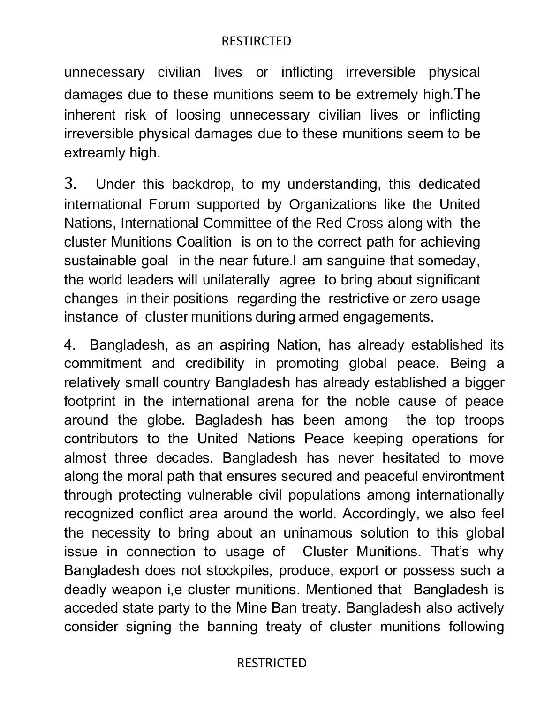#### RESTIRCTED

unnecessary civilian lives or inflicting irreversible physical damages due to these munitions seem to be extremely high.The inherent risk of loosing unnecessary civilian lives or inflicting irreversible physical damages due to these munitions seem to be extreamly high.

3. Under this backdrop, to my understanding, this dedicated international Forum supported by Organizations like the United Nations, International Committee of the Red Cross along with the cluster Munitions Coalition is on to the correct path for achieving sustainable goal in the near future.I am sanguine that someday, the world leaders will unilaterally agree to bring about significant changes in their positions regarding the restrictive or zero usage instance of cluster munitions during armed engagements.

4. Bangladesh, as an aspiring Nation, has already established its commitment and credibility in promoting global peace. Being a relatively small country Bangladesh has already established a bigger footprint in the international arena for the noble cause of peace around the globe. Bagladesh has been among the top troops contributors to the United Nations Peace keeping operations for almost three decades. Bangladesh has never hesitated to move along the moral path that ensures secured and peaceful environtment through protecting vulnerable civil populations among internationally recognized conflict area around the world. Accordingly, we also feel the necessity to bring about an uninamous solution to this global issue in connection to usage of Cluster Munitions. That's why Bangladesh does not stockpiles, produce, export or possess such a deadly weapon i,e cluster munitions. Mentioned that Bangladesh is acceded state party to the Mine Ban treaty. Bangladesh also actively consider signing the banning treaty of cluster munitions following